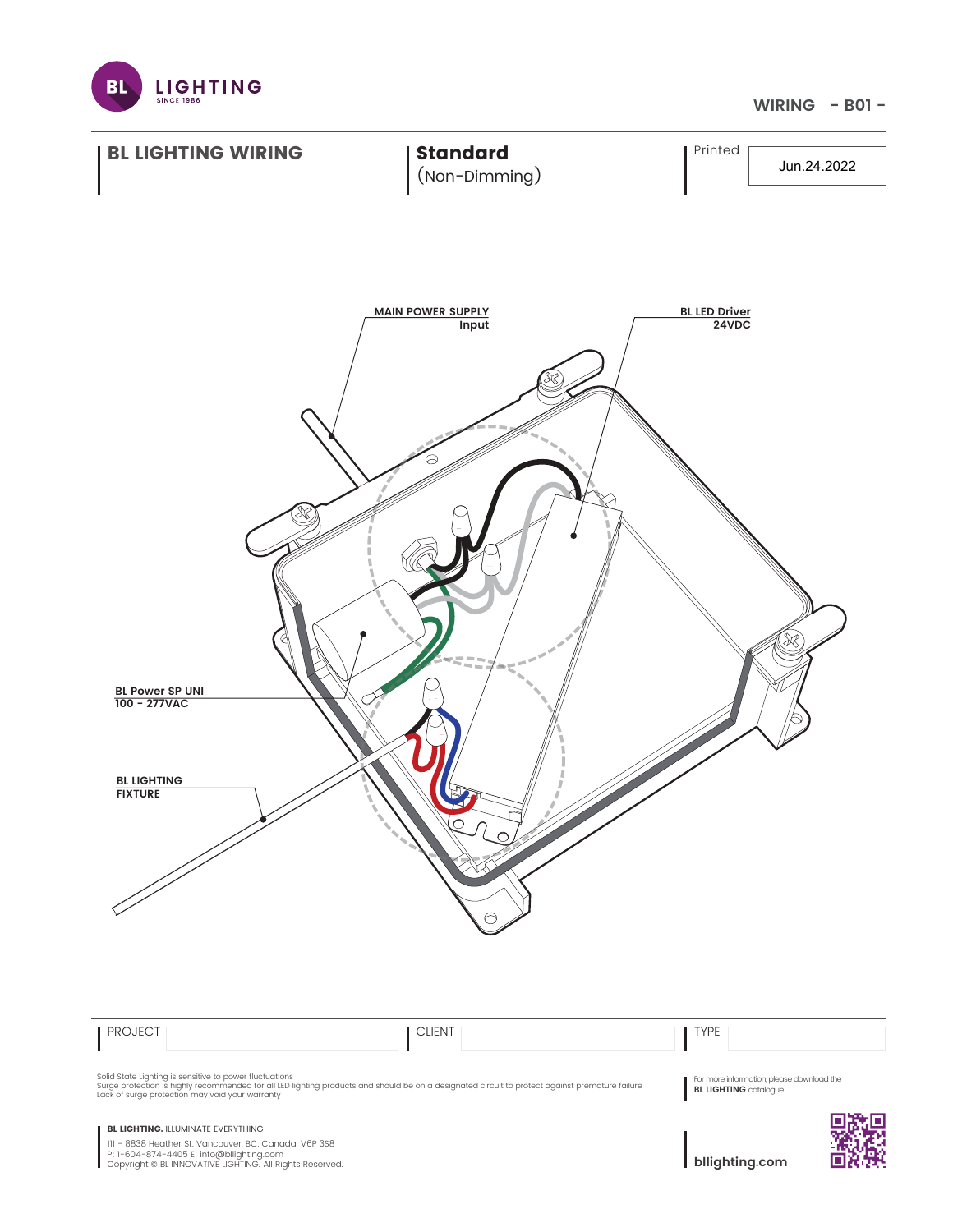

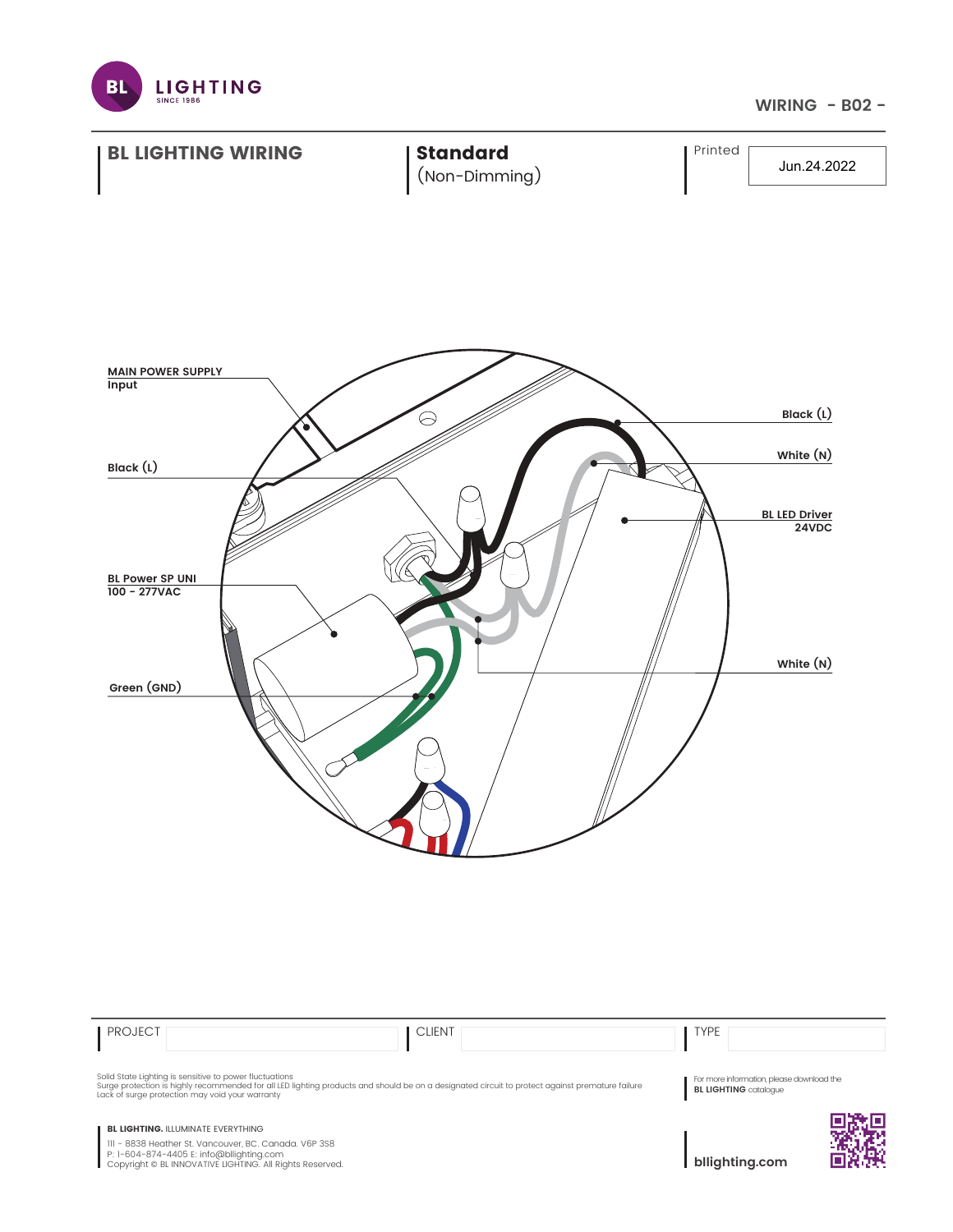



**BL LIGHTING. ILLUMINATE EVERYTHING** 

111 - 8838 Heather St. Vancouver, BC. Canada. V6P 3S8 P: 1-604-874-4405 E: info@bllighting.com Copyright © BL INNOVATIVE LIGHTING. All Rights Reserved.